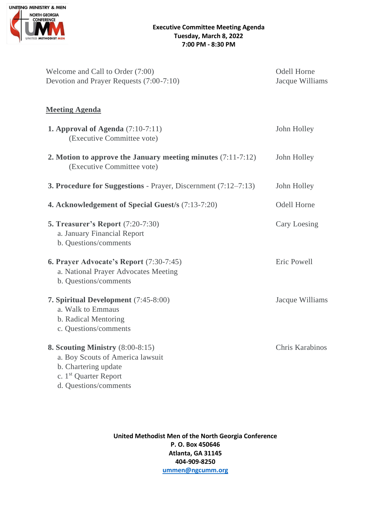

| Welcome and Call to Order (7:00)<br>Devotion and Prayer Requests (7:00-7:10)                                                                                 | <b>Odell Horne</b><br>Jacque Williams |
|--------------------------------------------------------------------------------------------------------------------------------------------------------------|---------------------------------------|
| <b>Meeting Agenda</b>                                                                                                                                        |                                       |
| 1. Approval of Agenda $(7:10-7:11)$<br>(Executive Committee vote)                                                                                            | John Holley                           |
| 2. Motion to approve the January meeting minutes $(7:11-7:12)$<br>(Executive Committee vote)                                                                 | John Holley                           |
| <b>3. Procedure for Suggestions - Prayer, Discernment (7:12–7:13)</b>                                                                                        | John Holley                           |
| 4. Acknowledgement of Special Guest/s (7:13-7:20)                                                                                                            | Odell Horne                           |
| <b>5. Treasurer's Report (7:20-7:30)</b><br>a. January Financial Report<br>b. Questions/comments                                                             | Cary Loesing                          |
| 6. Prayer Advocate's Report (7:30-7:45)<br>a. National Prayer Advocates Meeting<br>b. Questions/comments                                                     | Eric Powell                           |
| 7. Spiritual Development (7:45-8:00)<br>a. Walk to Emmaus<br>b. Radical Mentoring<br>c. Questions/comments                                                   | Jacque Williams                       |
| 8. Scouting Ministry $(8:00-8:15)$<br>a. Boy Scouts of America lawsuit<br>b. Chartering update<br>c. 1 <sup>st</sup> Quarter Report<br>d. Questions/comments | Chris Karabinos                       |

**United Methodist Men of the North Georgia Conference P. O. Box 450646 Atlanta, GA 31145 404-909-8250 [ummen@ngcumm.org](mailto:ummen@ngcumm.org)**